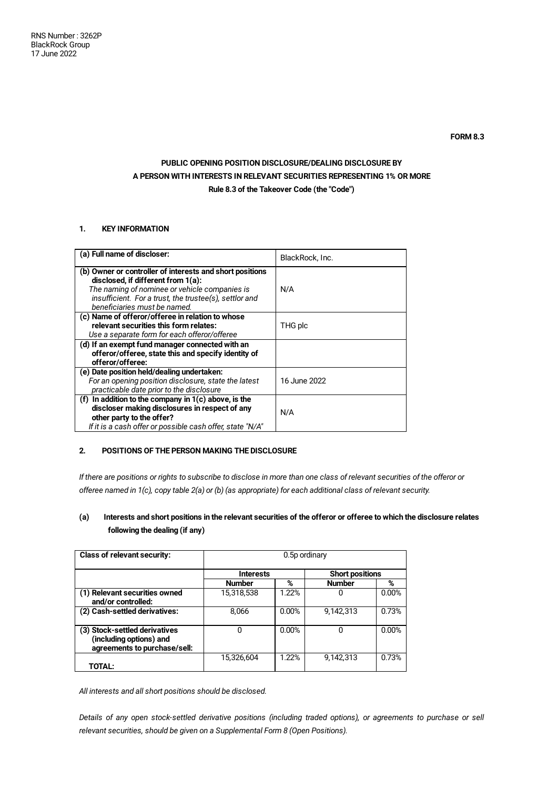# **PUBLIC OPENING POSITION DISCLOSURE/DEALING DISCLOSURE BY A PERSON WITH INTERESTS IN RELEVANT SECURITIES REPRESENTING 1% OR MORE Rule 8.3 of the Takeover Code (the "Code")**

## **1. KEY INFORMATION**

| (a) Full name of discloser:                                                                                                                                                                                                               | BlackRock, Inc. |
|-------------------------------------------------------------------------------------------------------------------------------------------------------------------------------------------------------------------------------------------|-----------------|
| (b) Owner or controller of interests and short positions<br>disclosed, if different from 1(a):<br>The naming of nominee or vehicle companies is<br>insufficient. For a trust, the trustee(s), settlor and<br>beneficiaries must be named. | N/A             |
| (c) Name of offeror/offeree in relation to whose<br>relevant securities this form relates:<br>Use a separate form for each offeror/offeree                                                                                                | THG plc         |
| (d) If an exempt fund manager connected with an<br>offeror/offeree, state this and specify identity of<br>offeror/offeree:                                                                                                                |                 |
| (e) Date position held/dealing undertaken:<br>For an opening position disclosure, state the latest<br>practicable date prior to the disclosure                                                                                            | 16 June 2022    |
| (f) In addition to the company in $1(c)$ above, is the<br>discloser making disclosures in respect of any<br>other party to the offer?<br>If it is a cash offer or possible cash offer, state "N/A"                                        | N/A             |

## **2. POSITIONS OF THE PERSON MAKING THE DISCLOSURE**

If there are positions or rights to subscribe to disclose in more than one class of relevant securities of the offeror or offeree named in 1(c), copy table 2(a) or (b) (as appropriate) for each additional class of relevant security.

## (a) Interests and short positions in the relevant securities of the offeror or offeree to which the disclosure relates **following the dealing (if any)**

| <b>Class of relevant security:</b>                                                       | 0.5p ordinary    |       |                        |       |
|------------------------------------------------------------------------------------------|------------------|-------|------------------------|-------|
|                                                                                          | <b>Interests</b> |       | <b>Short positions</b> |       |
|                                                                                          | <b>Number</b>    | %     | <b>Number</b>          | %     |
| (1) Relevant securities owned<br>and/or controlled:                                      | 15,318,538       | 1.22% | 0                      | 0.00% |
| (2) Cash-settled derivatives:                                                            | 8,066            | 0.00% | 9,142,313              | 0.73% |
| (3) Stock-settled derivatives<br>(including options) and<br>agreements to purchase/sell: | 0                | 0.00% | 0                      | 0.00% |
| TOTAL:                                                                                   | 15,326,604       | 1.22% | 9,142,313              | 0.73% |

*All interests and all short positions should be disclosed.*

Details of any open stock-settled derivative positions (including traded options), or agreements to purchase or sell *relevant securities, should be given on a Supplemental Form 8 (Open Positions).*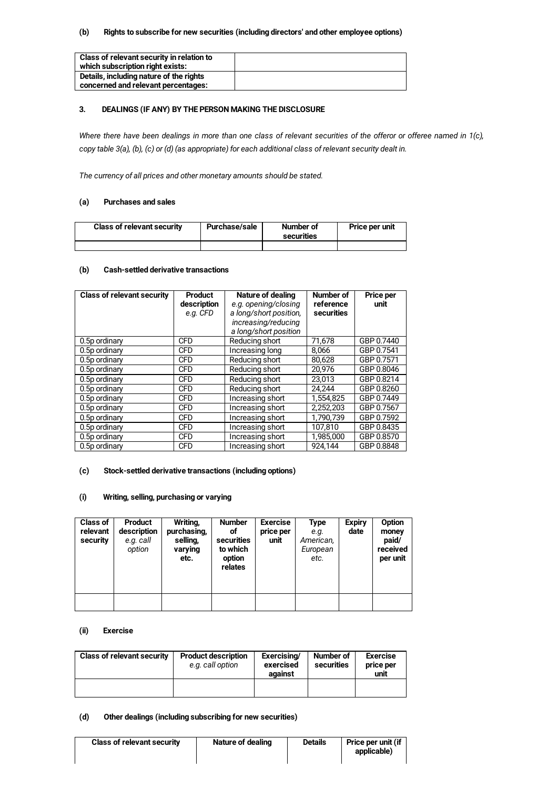### **(b) Rights to subscribe for new securities (including directors' and other employee options)**

| Class of relevant security in relation to |  |
|-------------------------------------------|--|
| which subscription right exists:          |  |
| Details, including nature of the rights   |  |
| concerned and relevant percentages:       |  |

## **3. DEALINGS (IF ANY) BY THE PERSON MAKING THE DISCLOSURE**

Where there have been dealings in more than one class of relevant securities of the offeror or offeree named in 1(c), copy table 3(a), (b), (c) or (d) (as appropriate) for each additional class of relevant security dealt in.

*The currency of all prices and other monetary amounts should be stated.*

#### **(a) Purchases and sales**

| <b>Class of relevant security</b> | Purchase/sale | Number of<br>securities | Price per unit |
|-----------------------------------|---------------|-------------------------|----------------|
|                                   |               |                         |                |

#### **(b) Cash-settled derivative transactions**

| <b>Class of relevant security</b> | <b>Product</b> | Nature of dealing      | Number of  | Price per  |
|-----------------------------------|----------------|------------------------|------------|------------|
|                                   | description    | e.g. opening/closing   | reference  | unit       |
|                                   | e.g. CFD       | a long/short position, | securities |            |
|                                   |                | increasing/reducing    |            |            |
|                                   |                | a long/short position  |            |            |
| 0.5p ordinary                     | <b>CFD</b>     | Reducing short         | 71,678     | GBP 0.7440 |
| 0.5p ordinary                     | <b>CFD</b>     | Increasing long        | 8.066      | GBP 0.7541 |
| 0.5p ordinary                     | <b>CFD</b>     | Reducing short         | 80.628     | GBP 0.7571 |
| 0.5p ordinary                     | <b>CFD</b>     | Reducing short         | 20.976     | GBP 0.8046 |
| 0.5p ordinary                     | <b>CFD</b>     | Reducing short         | 23.013     | GBP 0.8214 |
| 0.5p ordinary                     | <b>CFD</b>     | Reducing short         | 24,244     | GBP 0.8260 |
| 0.5p ordinary                     | <b>CFD</b>     | Increasing short       | 1.554.825  | GBP 0.7449 |
| 0.5p ordinary                     | <b>CFD</b>     | Increasing short       | 2,252,203  | GBP 0.7567 |
| 0.5p ordinary                     | <b>CFD</b>     | Increasing short       | 1,790,739  | GBP 0.7592 |
| 0.5p ordinary                     | <b>CFD</b>     | Increasing short       | 107,810    | GBP 0.8435 |
| 0.5p ordinary                     | <b>CFD</b>     | Increasing short       | 1,985,000  | GBP 0.8570 |
| 0.5p ordinary                     | <b>CFD</b>     | Increasing short       | 924.144    | GBP 0.8848 |

#### **(c) Stock-settled derivative transactions (including options)**

### **(i) Writing, selling, purchasing or varying**

| <b>Class of</b><br>relevant<br>security | <b>Product</b><br>description<br>e.g. call<br>option | Writing,<br>purchasing,<br>selling,<br>varying<br>etc. | <b>Number</b><br>of<br>securities<br>to which<br>option<br>relates | <b>Exercise</b><br>price per<br>unit | Type<br>e.g.<br>American,<br>European<br>etc. | <b>Expiry</b><br>date | Option<br>money<br>paid/<br>received<br>per unit |
|-----------------------------------------|------------------------------------------------------|--------------------------------------------------------|--------------------------------------------------------------------|--------------------------------------|-----------------------------------------------|-----------------------|--------------------------------------------------|
|                                         |                                                      |                                                        |                                                                    |                                      |                                               |                       |                                                  |

#### **(ii) Exercise**

| <b>Class of relevant security</b> | <b>Product description</b><br>e.g. call option | Exercising/<br>exercised<br>against | Number of<br>securities | <b>Exercise</b><br>price per<br>unit |
|-----------------------------------|------------------------------------------------|-------------------------------------|-------------------------|--------------------------------------|
|                                   |                                                |                                     |                         |                                      |

## **(d) Other dealings (including subscribing for new securities)**